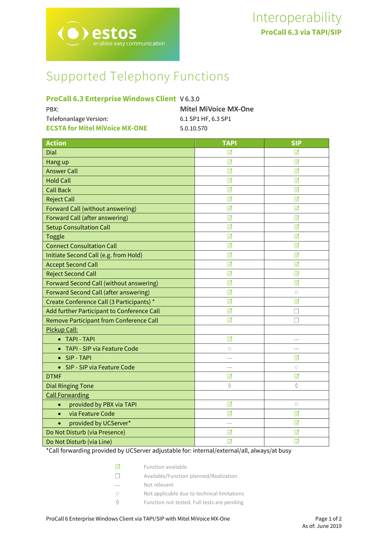# Supported Telephony Functions

# **ProCall 6.3 Enterprise Windows Client** V 6.3.0

| <b>Mitel MiVoice MX-One</b> |
|-----------------------------|
| 6.1 SP1 HF, 6.3 SP1         |
| 5.0.10.570                  |
|                             |

| <b>Action</b>                              | <b>TAPI</b> | <b>SIP</b> |
|--------------------------------------------|-------------|------------|
| Dial                                       | ⊓           | ☑          |
| Hang up                                    | ☑           | ☑          |
| <b>Answer Call</b>                         | ☑           | ☑          |
| <b>Hold Call</b>                           | ⊠           | ⊽          |
| <b>Call Back</b>                           | ☑           | ☑          |
| <b>Reject Call</b>                         | ☑           | ☑          |
| Forward Call (without answering)           | ☑           | ☑          |
| <b>Forward Call (after answering)</b>      | ☑           | ☑          |
| <b>Setup Consultation Call</b>             | ☑           | ☑          |
| <b>Toggle</b>                              | ☑           | ☑          |
| <b>Connect Consultation Call</b>           | ☑           | ☑          |
| Initiate Second Call (e.g. from Hold)      | ☑           | ☑          |
| <b>Accept Second Call</b>                  | ☑           | ☑          |
| <b>Reject Second Call</b>                  | ☑           | ☑          |
| Forward Second Call (without answering)    | ☑           | ☑          |
| Forward Second Call (after answering)      | ☑           | $\circ$    |
| Create Conference Call (3 Participants) *  | ☑           | ☑          |
| Add further Participant to Conference Call | ☑           | П          |
| Remove Participant from Conference Call    | ☑           | П          |
| Pickup Call:                               |             |            |
| <b>TAPI - TAPI</b>                         | ☑           |            |
| TAPI - SIP via Feature Code                | $\bigcirc$  |            |
| SIP - TAPI<br>$\bullet$                    |             | ☑          |
| SIP - SIP via Feature Code<br>$\bullet$    |             | $\bigcirc$ |
| <b>DTMF</b>                                | ☑           | ☑          |
| <b>Dial Ringing Tone</b>                   | ♦           | ♦          |
| <b>Call Forwarding</b>                     |             |            |
| provided by PBX via TAPI<br>$\bullet$      | ☑           | $\bigcirc$ |
| via Feature Code<br>$\bullet$              | ☑           | ☑          |
| provided by UCServer*<br>$\bullet$         |             | ☑          |
| Do Not Disturb (via Presence)              | ☑           | ☑          |
| Do Not Disturb (via Line)                  | ☑           | ☑          |

\*Call forwarding provided by UCServer adjustable for: internal/external/all, always/at busy

| ⊽ | Function available |
|---|--------------------|
|   |                    |

- ☐ Available/Function planned/Realization
- Not relevant
- Not applicable due to technical limitations
- ◊ Function not tested. Full tests are pending